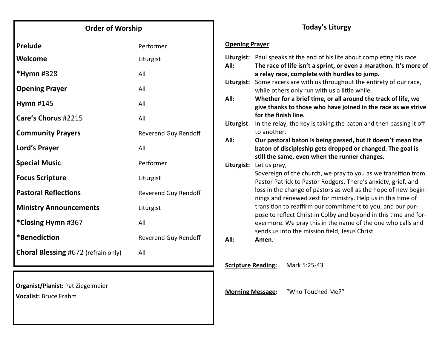## **Order of Worship**

| Prelude                                    | Performer                   |  |
|--------------------------------------------|-----------------------------|--|
| Welcome                                    | Liturgist                   |  |
| *Hymn #328                                 | All                         |  |
| <b>Opening Prayer</b>                      | All                         |  |
| Hymn #145                                  | All                         |  |
| Care's Chorus #2215                        | All                         |  |
| <b>Community Prayers</b>                   | Reverend Guy Rendoff        |  |
| Lord's Prayer                              | All                         |  |
| <b>Special Music</b>                       | Performer                   |  |
| <b>Focus Scripture</b>                     | Liturgist                   |  |
| <b>Pastoral Reflections</b>                | <b>Reverend Guy Rendoff</b> |  |
| <b>Ministry Announcements</b>              | Liturgist                   |  |
| *Closing Hymn #367                         | All                         |  |
| *Benediction                               | Reverend Guy Rendoff        |  |
| <b>Choral Blessing #672 (refrain only)</b> | All                         |  |
|                                            |                             |  |

**Organist/Pianist:** Pat Ziegelmeier

**Vocalist:** Bruce Frahm

## **Today's Liturgy**

### **Opening Prayer**:

|                                           | All:       | Liturgist: Paul speaks at the end of his life about completing his race.<br>The race of life isn't a sprint, or even a marathon. It's more of |  |
|-------------------------------------------|------------|-----------------------------------------------------------------------------------------------------------------------------------------------|--|
|                                           |            | a relay race, complete with hurdles to jump.                                                                                                  |  |
|                                           | Liturgist: | Some racers are with us throughout the entirety of our race,                                                                                  |  |
|                                           |            | while others only run with us a little while.                                                                                                 |  |
|                                           | All:       | Whether for a brief time, or all around the track of life, we                                                                                 |  |
|                                           |            | give thanks to those who have joined in the race as we strive                                                                                 |  |
|                                           |            | for the finish line.                                                                                                                          |  |
|                                           | Liturgist: | In the relay, the key is taking the baton and then passing it off                                                                             |  |
|                                           |            | to another.                                                                                                                                   |  |
|                                           | All:       | Our pastoral baton is being passed, but it doesn't mean the                                                                                   |  |
|                                           |            | baton of discipleship gets dropped or changed. The goal is                                                                                    |  |
|                                           |            | still the same, even when the runner changes.                                                                                                 |  |
|                                           | Liturgist: | Let us pray,                                                                                                                                  |  |
|                                           |            | Sovereign of the church, we pray to you as we transition from                                                                                 |  |
|                                           |            | Pastor Patrick to Pastor Rodgers. There's anxiety, grief, and                                                                                 |  |
|                                           |            | loss in the change of pastors as well as the hope of new begin-                                                                               |  |
|                                           |            | nings and renewed zest for ministry. Help us in this time of                                                                                  |  |
|                                           |            | transition to reaffirm our commitment to you, and our pur-                                                                                    |  |
|                                           |            | pose to reflect Christ in Colby and beyond in this time and for-                                                                              |  |
|                                           |            | evermore. We pray this in the name of the one who calls and                                                                                   |  |
|                                           |            | sends us into the mission field, Jesus Christ.                                                                                                |  |
|                                           | All:       | Amen.                                                                                                                                         |  |
|                                           |            |                                                                                                                                               |  |
|                                           |            |                                                                                                                                               |  |
| <b>Scripture Reading:</b><br>Mark 5:25-43 |            |                                                                                                                                               |  |
|                                           |            |                                                                                                                                               |  |
|                                           |            |                                                                                                                                               |  |

**Morning Message:** "Who Touched Me?"